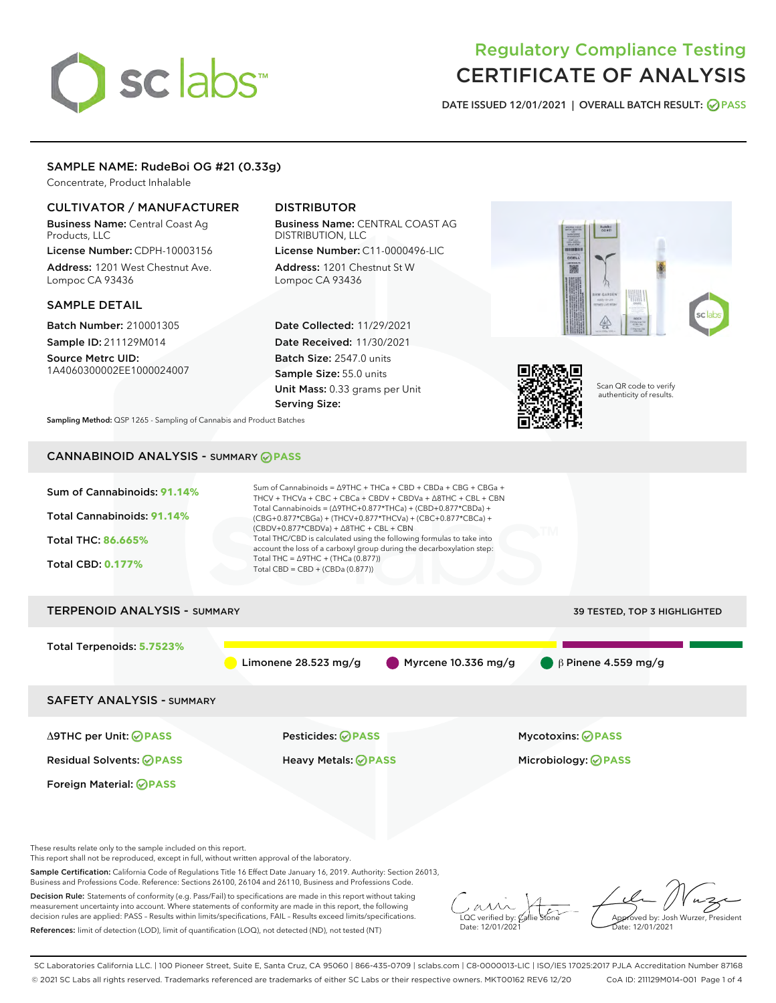# sclabs

# Regulatory Compliance Testing CERTIFICATE OF ANALYSIS

DATE ISSUED 12/01/2021 | OVERALL BATCH RESULT: @ PASS

# SAMPLE NAME: RudeBoi OG #21 (0.33g)

Concentrate, Product Inhalable

# CULTIVATOR / MANUFACTURER

Business Name: Central Coast Ag Products, LLC License Number: CDPH-10003156

Address: 1201 West Chestnut Ave. Lompoc CA 93436

# SAMPLE DETAIL

Batch Number: 210001305 Sample ID: 211129M014

Source Metrc UID: 1A4060300002EE1000024007

# DISTRIBUTOR

Business Name: CENTRAL COAST AG DISTRIBUTION, LLC License Number: C11-0000496-LIC

Address: 1201 Chestnut St W Lompoc CA 93436

Date Collected: 11/29/2021 Date Received: 11/30/2021 Batch Size: 2547.0 units Sample Size: 55.0 units Unit Mass: 0.33 grams per Unit Serving Size:





Scan QR code to verify authenticity of results.

Sampling Method: QSP 1265 - Sampling of Cannabis and Product Batches

# CANNABINOID ANALYSIS - SUMMARY **PASS**



These results relate only to the sample included on this report.

This report shall not be reproduced, except in full, without written approval of the laboratory.

Sample Certification: California Code of Regulations Title 16 Effect Date January 16, 2019. Authority: Section 26013, Business and Professions Code. Reference: Sections 26100, 26104 and 26110, Business and Professions Code.

Decision Rule: Statements of conformity (e.g. Pass/Fail) to specifications are made in this report without taking measurement uncertainty into account. Where statements of conformity are made in this report, the following decision rules are applied: PASS – Results within limits/specifications, FAIL – Results exceed limits/specifications. References: limit of detection (LOD), limit of quantification (LOQ), not detected (ND), not tested (NT)

 $\overline{\text{C}}$  verified by:  $\mathcal C$ Date: 12/01/2021

Aved by: Josh Wurzer, President ate: 12/01/2021

SC Laboratories California LLC. | 100 Pioneer Street, Suite E, Santa Cruz, CA 95060 | 866-435-0709 | sclabs.com | C8-0000013-LIC | ISO/IES 17025:2017 PJLA Accreditation Number 87168 © 2021 SC Labs all rights reserved. Trademarks referenced are trademarks of either SC Labs or their respective owners. MKT00162 REV6 12/20 CoA ID: 211129M014-001 Page 1 of 4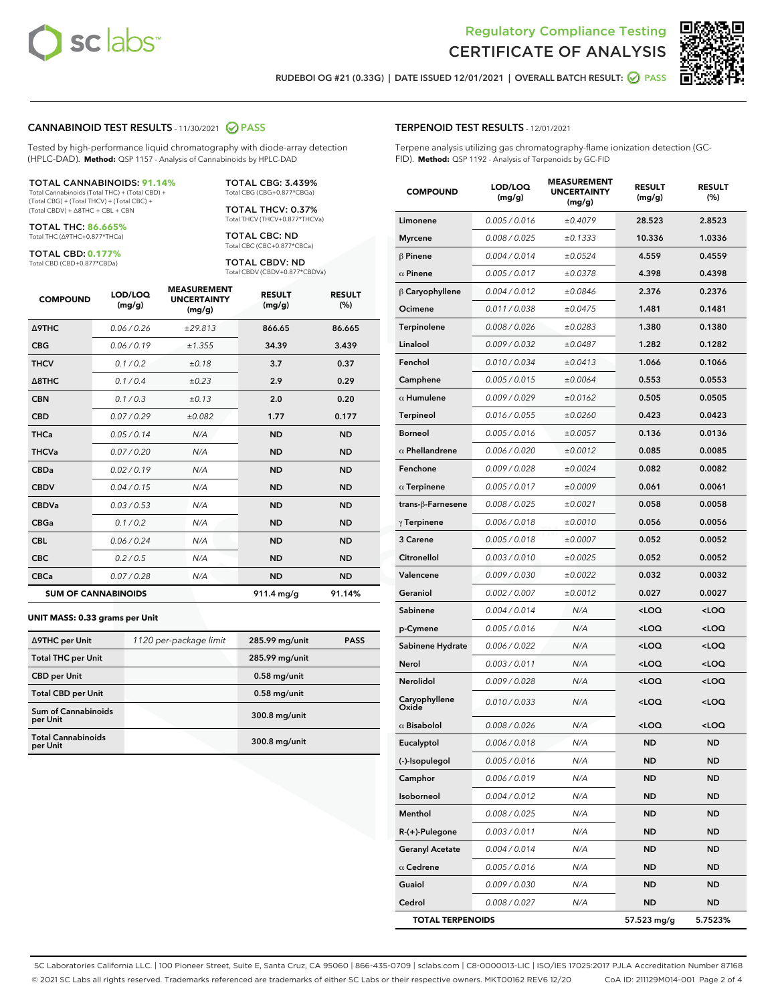



RUDEBOI OG #21 (0.33G) | DATE ISSUED 12/01/2021 | OVERALL BATCH RESULT: @ PASS

# CANNABINOID TEST RESULTS - 11/30/2021 @ PASS

Tested by high-performance liquid chromatography with diode-array detection (HPLC-DAD). **Method:** QSP 1157 - Analysis of Cannabinoids by HPLC-DAD

### TOTAL CANNABINOIDS: **91.14%**

Total Cannabinoids (Total THC) + (Total CBD) + (Total CBG) + (Total THCV) + (Total CBC) + (Total CBDV) + ∆8THC + CBL + CBN

TOTAL THC: **86.665%** Total THC (∆9THC+0.877\*THCa)

TOTAL CBD: **0.177%**

Total CBD (CBD+0.877\*CBDa)

TOTAL CBG: 3.439% Total CBG (CBG+0.877\*CBGa)

TOTAL THCV: 0.37% Total THCV (THCV+0.877\*THCVa)

TOTAL CBC: ND Total CBC (CBC+0.877\*CBCa)

TOTAL CBDV: ND Total CBDV (CBDV+0.877\*CBDVa)

| <b>COMPOUND</b>            | LOD/LOQ<br>(mg/g) | <b>MEASUREMENT</b><br><b>UNCERTAINTY</b><br>(mg/g) | <b>RESULT</b><br>(mg/g) | <b>RESULT</b><br>(%) |
|----------------------------|-------------------|----------------------------------------------------|-------------------------|----------------------|
| Δ9THC                      | 0.06 / 0.26       | ±29.813                                            | 866.65                  | 86.665               |
| <b>CBG</b>                 | 0.06/0.19         | ±1.355                                             | 34.39                   | 3.439                |
| <b>THCV</b>                | 0.1 / 0.2         | ±0.18                                              | 3.7                     | 0.37                 |
| $\triangle$ 8THC           | 0.1/0.4           | $\pm 0.23$                                         | 2.9                     | 0.29                 |
| <b>CBN</b>                 | 0.1/0.3           | ±0.13                                              | 2.0                     | 0.20                 |
| <b>CBD</b>                 | 0.07/0.29         | ±0.082                                             | 1.77                    | 0.177                |
| <b>THCa</b>                | 0.05/0.14         | N/A                                                | <b>ND</b>               | <b>ND</b>            |
| <b>THCVa</b>               | 0.07/0.20         | N/A                                                | <b>ND</b>               | <b>ND</b>            |
| <b>CBDa</b>                | 0.02/0.19         | N/A                                                | <b>ND</b>               | <b>ND</b>            |
| <b>CBDV</b>                | 0.04 / 0.15       | N/A                                                | <b>ND</b>               | <b>ND</b>            |
| <b>CBDVa</b>               | 0.03/0.53         | N/A                                                | <b>ND</b>               | <b>ND</b>            |
| <b>CBGa</b>                | 0.1 / 0.2         | N/A                                                | <b>ND</b>               | <b>ND</b>            |
| <b>CBL</b>                 | 0.06 / 0.24       | N/A                                                | <b>ND</b>               | <b>ND</b>            |
| <b>CBC</b>                 | 0.2 / 0.5         | N/A                                                | <b>ND</b>               | <b>ND</b>            |
| <b>CBCa</b>                | 0.07 / 0.28       | N/A                                                | <b>ND</b>               | <b>ND</b>            |
| <b>SUM OF CANNABINOIDS</b> |                   |                                                    | $911.4 \text{ mg/g}$    | 91.14%               |

### **UNIT MASS: 0.33 grams per Unit**

| ∆9THC per Unit                         | 1120 per-package limit | 285.99 mg/unit | <b>PASS</b> |
|----------------------------------------|------------------------|----------------|-------------|
| <b>Total THC per Unit</b>              |                        | 285.99 mg/unit |             |
| <b>CBD</b> per Unit                    |                        | $0.58$ mg/unit |             |
| <b>Total CBD per Unit</b>              |                        | $0.58$ mg/unit |             |
| <b>Sum of Cannabinoids</b><br>per Unit |                        | 300.8 mg/unit  |             |
| <b>Total Cannabinoids</b><br>per Unit  |                        | 300.8 mg/unit  |             |

| <b>COMPOUND</b>         | LOD/LOQ<br>(mg/g) | <b>MEASUREMENT</b><br><b>UNCERTAINTY</b><br>(mg/g) | <b>RESULT</b><br>(mg/g)                         | <b>RESULT</b><br>$(\%)$ |
|-------------------------|-------------------|----------------------------------------------------|-------------------------------------------------|-------------------------|
| Limonene                | 0.005 / 0.016     | ±0.4079                                            | 28.523                                          | 2.8523                  |
| <b>Myrcene</b>          | 0.008 / 0.025     | ±0.1333                                            | 10.336                                          | 1.0336                  |
| $\beta$ Pinene          | 0.004 / 0.014     | ±0.0524                                            | 4.559                                           | 0.4559                  |
| $\alpha$ Pinene         | 0.005 / 0.017     | ±0.0378                                            | 4.398                                           | 0.4398                  |
| $\beta$ Caryophyllene   | 0.004 / 0.012     | ±0.0846                                            | 2.376                                           | 0.2376                  |
| Ocimene                 | 0.011 / 0.038     | ±0.0475                                            | 1.481                                           | 0.1481                  |
| Terpinolene             | 0.008 / 0.026     | ±0.0283                                            | 1.380                                           | 0.1380                  |
| Linalool                | 0.009 / 0.032     | ±0.0487                                            | 1.282                                           | 0.1282                  |
| Fenchol                 | 0.010 / 0.034     | ±0.0413                                            | 1.066                                           | 0.1066                  |
| Camphene                | 0.005 / 0.015     | ±0.0064                                            | 0.553                                           | 0.0553                  |
| $\alpha$ Humulene       | 0.009 / 0.029     | ±0.0162                                            | 0.505                                           | 0.0505                  |
| Terpineol               | 0.016 / 0.055     | ±0.0260                                            | 0.423                                           | 0.0423                  |
| <b>Borneol</b>          | 0.005 / 0.016     | ±0.0057                                            | 0.136                                           | 0.0136                  |
| $\alpha$ Phellandrene   | 0.006 / 0.020     | ±0.0012                                            | 0.085                                           | 0.0085                  |
| Fenchone                | 0.009 / 0.028     | ±0.0024                                            | 0.082                                           | 0.0082                  |
| $\alpha$ Terpinene      | 0.005 / 0.017     | ±0.0009                                            | 0.061                                           | 0.0061                  |
| trans-ß-Farnesene       | 0.008 / 0.025     | ±0.0021                                            | 0.058                                           | 0.0058                  |
| $\gamma$ Terpinene      | 0.006 / 0.018     | ±0.0010                                            | 0.056                                           | 0.0056                  |
| 3 Carene                | 0.005 / 0.018     | ±0.0007                                            | 0.052                                           | 0.0052                  |
| Citronellol             | 0.003 / 0.010     | ±0.0025                                            | 0.052                                           | 0.0052                  |
| Valencene               | 0.009 / 0.030     | ±0.0022                                            | 0.032                                           | 0.0032                  |
| Geraniol                | 0.002 / 0.007     | ±0.0012                                            | 0.027                                           | 0.0027                  |
| Sabinene                | 0.004 / 0.014     | N/A                                                | <loq< th=""><th><loq< th=""></loq<></th></loq<> | <loq< th=""></loq<>     |
| p-Cymene                | 0.005 / 0.016     | N/A                                                | <loq< th=""><th><loq< th=""></loq<></th></loq<> | <loq< th=""></loq<>     |
| Sabinene Hydrate        | 0.006 / 0.022     | N/A                                                | <loq< th=""><th><loq< th=""></loq<></th></loq<> | <loq< th=""></loq<>     |
| Nerol                   | 0.003 / 0.011     | N/A                                                | <loq< th=""><th><loq< th=""></loq<></th></loq<> | <loq< th=""></loq<>     |
| Nerolidol               | 0.009 / 0.028     | N/A                                                | <loq< th=""><th><loq< th=""></loq<></th></loq<> | <loq< th=""></loq<>     |
| Caryophyllene<br>Oxide  | 0.010 / 0.033     | N/A                                                | <loq< th=""><th><loq< th=""></loq<></th></loq<> | <loq< th=""></loq<>     |
| $\alpha$ Bisabolol      | 0.008 / 0.026     | N/A                                                | <loq< th=""><th><loq< th=""></loq<></th></loq<> | <loq< th=""></loq<>     |
| Eucalyptol              | 0.006 / 0.018     | N/A                                                | <b>ND</b>                                       | <b>ND</b>               |
| (-)-Isopulegol          | 0.005 / 0.016     | N/A                                                | ND                                              | ND                      |
| Camphor                 | 0.006 / 0.019     | N/A                                                | ND                                              | <b>ND</b>               |
| Isoborneol              | 0.004 / 0.012     | N/A                                                | ND                                              | <b>ND</b>               |
| Menthol                 | 0.008 / 0.025     | N/A                                                | ND                                              | <b>ND</b>               |
| R-(+)-Pulegone          | 0.003 / 0.011     | N/A                                                | ND                                              | <b>ND</b>               |
| <b>Geranyl Acetate</b>  | 0.004 / 0.014     | N/A                                                | ND                                              | <b>ND</b>               |
| $\alpha$ Cedrene        | 0.005 / 0.016     | N/A                                                | ND                                              | <b>ND</b>               |
| Guaiol                  | 0.009 / 0.030     | N/A                                                | ND                                              | <b>ND</b>               |
| Cedrol                  | 0.008 / 0.027     | N/A                                                | ND                                              | <b>ND</b>               |
| <b>TOTAL TERPENOIDS</b> |                   |                                                    | 57.523 mg/g                                     | 5.7523%                 |

SC Laboratories California LLC. | 100 Pioneer Street, Suite E, Santa Cruz, CA 95060 | 866-435-0709 | sclabs.com | C8-0000013-LIC | ISO/IES 17025:2017 PJLA Accreditation Number 87168 © 2021 SC Labs all rights reserved. Trademarks referenced are trademarks of either SC Labs or their respective owners. MKT00162 REV6 12/20 CoA ID: 211129M014-001 Page 2 of 4

# TERPENOID TEST RESULTS - 12/01/2021

Terpene analysis utilizing gas chromatography-flame ionization detection (GC-FID). **Method:** QSP 1192 - Analysis of Terpenoids by GC-FID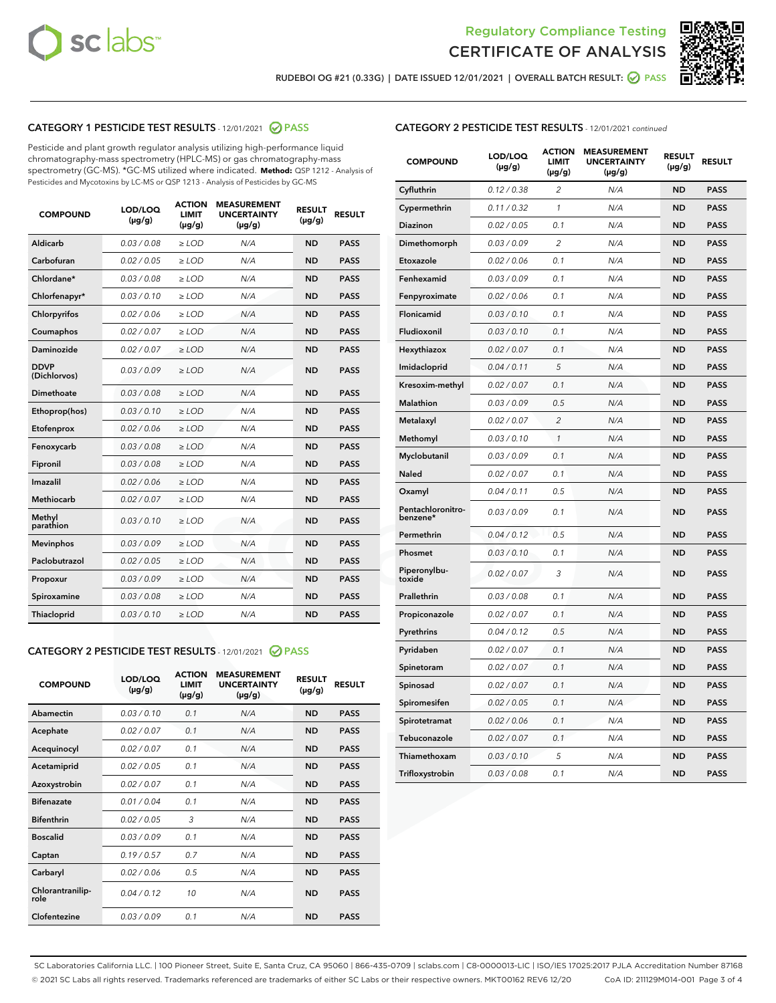



RUDEBOI OG #21 (0.33G) | DATE ISSUED 12/01/2021 | OVERALL BATCH RESULT: Ø PASS

# CATEGORY 1 PESTICIDE TEST RESULTS - 12/01/2021 @ PASS

Pesticide and plant growth regulator analysis utilizing high-performance liquid chromatography-mass spectrometry (HPLC-MS) or gas chromatography-mass spectrometry (GC-MS). \*GC-MS utilized where indicated. **Method:** QSP 1212 - Analysis of Pesticides and Mycotoxins by LC-MS or QSP 1213 - Analysis of Pesticides by GC-MS

| <b>COMPOUND</b>             | LOD/LOQ<br>$(\mu g/g)$ | <b>ACTION</b><br><b>LIMIT</b><br>$(\mu g/g)$ | <b>MEASUREMENT</b><br><b>UNCERTAINTY</b><br>$(\mu g/g)$ | <b>RESULT</b><br>$(\mu g/g)$ | <b>RESULT</b> |
|-----------------------------|------------------------|----------------------------------------------|---------------------------------------------------------|------------------------------|---------------|
| Aldicarb                    | 0.03 / 0.08            | $\ge$ LOD                                    | N/A                                                     | <b>ND</b>                    | <b>PASS</b>   |
| Carbofuran                  | 0.02 / 0.05            | $\ge$ LOD                                    | N/A                                                     | <b>ND</b>                    | <b>PASS</b>   |
| Chlordane*                  | 0.03 / 0.08            | $\ge$ LOD                                    | N/A                                                     | <b>ND</b>                    | <b>PASS</b>   |
| Chlorfenapyr*               | 0.03/0.10              | $\ge$ LOD                                    | N/A                                                     | <b>ND</b>                    | <b>PASS</b>   |
| Chlorpyrifos                | 0.02 / 0.06            | $\ge$ LOD                                    | N/A                                                     | <b>ND</b>                    | <b>PASS</b>   |
| Coumaphos                   | 0.02 / 0.07            | $\ge$ LOD                                    | N/A                                                     | <b>ND</b>                    | <b>PASS</b>   |
| Daminozide                  | 0.02 / 0.07            | $\ge$ LOD                                    | N/A                                                     | <b>ND</b>                    | <b>PASS</b>   |
| <b>DDVP</b><br>(Dichlorvos) | 0.03/0.09              | $\ge$ LOD                                    | N/A                                                     | <b>ND</b>                    | <b>PASS</b>   |
| <b>Dimethoate</b>           | 0.03/0.08              | $\ge$ LOD                                    | N/A                                                     | <b>ND</b>                    | <b>PASS</b>   |
| Ethoprop(hos)               | 0.03/0.10              | $\ge$ LOD                                    | N/A                                                     | <b>ND</b>                    | <b>PASS</b>   |
| Etofenprox                  | 0.02 / 0.06            | $>$ LOD                                      | N/A                                                     | <b>ND</b>                    | <b>PASS</b>   |
| Fenoxycarb                  | 0.03 / 0.08            | $\ge$ LOD                                    | N/A                                                     | <b>ND</b>                    | <b>PASS</b>   |
| Fipronil                    | 0.03/0.08              | $>$ LOD                                      | N/A                                                     | <b>ND</b>                    | <b>PASS</b>   |
| Imazalil                    | 0.02 / 0.06            | $\ge$ LOD                                    | N/A                                                     | <b>ND</b>                    | <b>PASS</b>   |
| Methiocarb                  | 0.02 / 0.07            | $\ge$ LOD                                    | N/A                                                     | <b>ND</b>                    | <b>PASS</b>   |
| Methyl<br>parathion         | 0.03/0.10              | $\ge$ LOD                                    | N/A                                                     | <b>ND</b>                    | <b>PASS</b>   |
| <b>Mevinphos</b>            | 0.03/0.09              | $\ge$ LOD                                    | N/A                                                     | <b>ND</b>                    | <b>PASS</b>   |
| Paclobutrazol               | 0.02 / 0.05            | $\ge$ LOD                                    | N/A                                                     | <b>ND</b>                    | <b>PASS</b>   |
| Propoxur                    | 0.03/0.09              | $\ge$ LOD                                    | N/A                                                     | <b>ND</b>                    | <b>PASS</b>   |
| Spiroxamine                 | 0.03 / 0.08            | $\ge$ LOD                                    | N/A                                                     | <b>ND</b>                    | <b>PASS</b>   |
| <b>Thiacloprid</b>          | 0.03/0.10              | $\ge$ LOD                                    | N/A                                                     | <b>ND</b>                    | <b>PASS</b>   |

# CATEGORY 2 PESTICIDE TEST RESULTS - 12/01/2021 @ PASS

| <b>COMPOUND</b>          | LOD/LOO<br>$(\mu g/g)$ | <b>ACTION</b><br>LIMIT<br>$(\mu g/g)$ | <b>MEASUREMENT</b><br><b>UNCERTAINTY</b><br>$(\mu g/g)$ | <b>RESULT</b><br>$(\mu g/g)$ | <b>RESULT</b> |
|--------------------------|------------------------|---------------------------------------|---------------------------------------------------------|------------------------------|---------------|
| Abamectin                | 0.03/0.10              | 0.1                                   | N/A                                                     | <b>ND</b>                    | <b>PASS</b>   |
| Acephate                 | 0.02/0.07              | 0.1                                   | N/A                                                     | <b>ND</b>                    | <b>PASS</b>   |
| Acequinocyl              | 0.02/0.07              | 0.1                                   | N/A                                                     | <b>ND</b>                    | <b>PASS</b>   |
| Acetamiprid              | 0.02/0.05              | 0.1                                   | N/A                                                     | <b>ND</b>                    | <b>PASS</b>   |
| Azoxystrobin             | 0.02/0.07              | 0.1                                   | N/A                                                     | <b>ND</b>                    | <b>PASS</b>   |
| <b>Bifenazate</b>        | 0.01/0.04              | 0.1                                   | N/A                                                     | <b>ND</b>                    | <b>PASS</b>   |
| <b>Bifenthrin</b>        | 0.02 / 0.05            | 3                                     | N/A                                                     | <b>ND</b>                    | <b>PASS</b>   |
| <b>Boscalid</b>          | 0.03/0.09              | 0.1                                   | N/A                                                     | <b>ND</b>                    | <b>PASS</b>   |
| Captan                   | 0.19/0.57              | 0.7                                   | N/A                                                     | <b>ND</b>                    | <b>PASS</b>   |
| Carbaryl                 | 0.02/0.06              | 0.5                                   | N/A                                                     | <b>ND</b>                    | <b>PASS</b>   |
| Chlorantranilip-<br>role | 0.04/0.12              | 10                                    | N/A                                                     | <b>ND</b>                    | <b>PASS</b>   |
| Clofentezine             | 0.03/0.09              | 0.1                                   | N/A                                                     | <b>ND</b>                    | <b>PASS</b>   |

# CATEGORY 2 PESTICIDE TEST RESULTS - 12/01/2021 continued

| <b>COMPOUND</b>               | LOD/LOQ<br>(µg/g) | <b>ACTION</b><br><b>LIMIT</b><br>(µg/g) | <b>MEASUREMENT</b><br><b>UNCERTAINTY</b><br>$(\mu g/g)$ | <b>RESULT</b><br>(µg/g) | <b>RESULT</b> |
|-------------------------------|-------------------|-----------------------------------------|---------------------------------------------------------|-------------------------|---------------|
| Cyfluthrin                    | 0.12 / 0.38       | $\overline{c}$                          | N/A                                                     | <b>ND</b>               | <b>PASS</b>   |
| Cypermethrin                  | 0.11 / 0.32       | 1                                       | N/A                                                     | <b>ND</b>               | <b>PASS</b>   |
| Diazinon                      | 0.02 / 0.05       | 0.1                                     | N/A                                                     | <b>ND</b>               | <b>PASS</b>   |
| Dimethomorph                  | 0.03 / 0.09       | 2                                       | N/A                                                     | ND                      | <b>PASS</b>   |
| Etoxazole                     | 0.02 / 0.06       | 0.1                                     | N/A                                                     | <b>ND</b>               | <b>PASS</b>   |
| Fenhexamid                    | 0.03 / 0.09       | 0.1                                     | N/A                                                     | ND                      | <b>PASS</b>   |
| Fenpyroximate                 | 0.02 / 0.06       | 0.1                                     | N/A                                                     | <b>ND</b>               | <b>PASS</b>   |
| Flonicamid                    | 0.03 / 0.10       | 0.1                                     | N/A                                                     | ND                      | <b>PASS</b>   |
| Fludioxonil                   | 0.03 / 0.10       | 0.1                                     | N/A                                                     | <b>ND</b>               | <b>PASS</b>   |
| Hexythiazox                   | 0.02 / 0.07       | 0.1                                     | N/A                                                     | ND                      | <b>PASS</b>   |
| Imidacloprid                  | 0.04 / 0.11       | 5                                       | N/A                                                     | ND                      | <b>PASS</b>   |
| Kresoxim-methyl               | 0.02 / 0.07       | 0.1                                     | N/A                                                     | <b>ND</b>               | <b>PASS</b>   |
| <b>Malathion</b>              | 0.03 / 0.09       | 0.5                                     | N/A                                                     | ND                      | <b>PASS</b>   |
| Metalaxyl                     | 0.02 / 0.07       | $\overline{c}$                          | N/A                                                     | ND                      | <b>PASS</b>   |
| Methomyl                      | 0.03 / 0.10       | 1                                       | N/A                                                     | <b>ND</b>               | <b>PASS</b>   |
| Myclobutanil                  | 0.03 / 0.09       | 0.1                                     | N/A                                                     | ND                      | <b>PASS</b>   |
| Naled                         | 0.02 / 0.07       | 0.1                                     | N/A                                                     | ND                      | <b>PASS</b>   |
| Oxamyl                        | 0.04 / 0.11       | 0.5                                     | N/A                                                     | ND                      | <b>PASS</b>   |
| Pentachloronitro-<br>benzene* | 0.03 / 0.09       | 0.1                                     | N/A                                                     | ND                      | <b>PASS</b>   |
| Permethrin                    | 0.04 / 0.12       | 0.5                                     | N/A                                                     | <b>ND</b>               | <b>PASS</b>   |
| Phosmet                       | 0.03/0.10         | 0.1                                     | N/A                                                     | ND                      | <b>PASS</b>   |
| Piperonylbu-<br>toxide        | 0.02 / 0.07       | 3                                       | N/A                                                     | ND                      | <b>PASS</b>   |
| Prallethrin                   | 0.03 / 0.08       | 0.1                                     | N/A                                                     | <b>ND</b>               | <b>PASS</b>   |
| Propiconazole                 | 0.02 / 0.07       | 0.1                                     | N/A                                                     | ND                      | <b>PASS</b>   |
| Pyrethrins                    | 0.04 / 0.12       | 0.5                                     | N/A                                                     | ND                      | <b>PASS</b>   |
| Pyridaben                     | 0.02 / 0.07       | 0.1                                     | N/A                                                     | ND                      | <b>PASS</b>   |
| Spinetoram                    | 0.02 / 0.07       | 0.1                                     | N/A                                                     | ND                      | <b>PASS</b>   |
| Spinosad                      | 0.02 / 0.07       | 0.1                                     | N/A                                                     | ND                      | <b>PASS</b>   |
| Spiromesifen                  | 0.02 / 0.05       | 0.1                                     | N/A                                                     | ND                      | <b>PASS</b>   |
| Spirotetramat                 | 0.02 / 0.06       | 0.1                                     | N/A                                                     | ND                      | <b>PASS</b>   |
| Tebuconazole                  | 0.02 / 0.07       | 0.1                                     | N/A                                                     | ND                      | <b>PASS</b>   |
| Thiamethoxam                  | 0.03 / 0.10       | 5                                       | N/A                                                     | ND                      | <b>PASS</b>   |
| Trifloxystrobin               | 0.03 / 0.08       | 0.1                                     | N/A                                                     | <b>ND</b>               | <b>PASS</b>   |

SC Laboratories California LLC. | 100 Pioneer Street, Suite E, Santa Cruz, CA 95060 | 866-435-0709 | sclabs.com | C8-0000013-LIC | ISO/IES 17025:2017 PJLA Accreditation Number 87168 © 2021 SC Labs all rights reserved. Trademarks referenced are trademarks of either SC Labs or their respective owners. MKT00162 REV6 12/20 CoA ID: 211129M014-001 Page 3 of 4